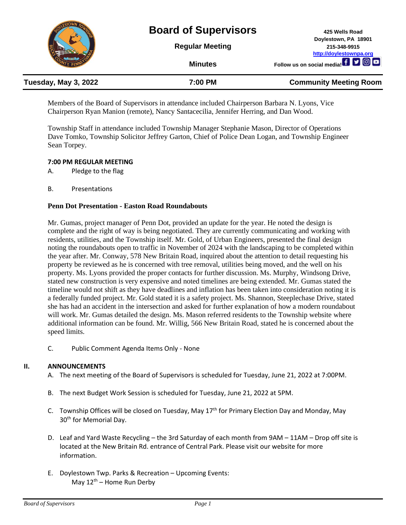

Members of the Board of Supervisors in attendance included Chairperson Barbara N. Lyons, Vice Chairperson Ryan Manion (remote), Nancy Santacecilia, Jennifer Herring, and Dan Wood.

Township Staff in attendance included Township Manager Stephanie Mason, Director of Operations Dave Tomko, Township Solicitor Jeffrey Garton, Chief of Police Dean Logan, and Township Engineer Sean Torpey.

### **7:00 PM REGULAR MEETING**

A. Pledge to the flag

B. Presentations

### **Penn Dot Presentation - Easton Road Roundabouts**

Mr. Gumas, project manager of Penn Dot, provided an update for the year. He noted the design is complete and the right of way is being negotiated. They are currently communicating and working with residents, utilities, and the Township itself. Mr. Gold, of Urban Engineers, presented the final design noting the roundabouts open to traffic in November of 2024 with the landscaping to be completed within the year after. Mr. Conway, 578 New Britain Road, inquired about the attention to detail requesting his property be reviewed as he is concerned with tree removal, utilities being moved, and the well on his property. Ms. Lyons provided the proper contacts for further discussion. Ms. Murphy, Windsong Drive, stated new construction is very expensive and noted timelines are being extended. Mr. Gumas stated the timeline would not shift as they have deadlines and inflation has been taken into consideration noting it is a federally funded project. Mr. Gold stated it is a safety project. Ms. Shannon, Steeplechase Drive, stated she has had an accident in the intersection and asked for further explanation of how a modern roundabout will work. Mr. Gumas detailed the design. Ms. Mason referred residents to the Township website where additional information can be found. Mr. Willig, 566 New Britain Road, stated he is concerned about the speed limits.

C. Public Comment Agenda Items Only - None

# **II. ANNOUNCEMENTS**

- A. The next meeting of the Board of Supervisors is scheduled for Tuesday, June 21, 2022 at 7:00PM.
- B. The next Budget Work Session is scheduled for Tuesday, June 21, 2022 at 5PM.
- C. Township Offices will be closed on Tuesday, May  $17<sup>th</sup>$  for Primary Election Day and Monday, May 30<sup>th</sup> for Memorial Day.
- D. Leaf and Yard Waste Recycling the 3rd Saturday of each month from 9AM 11AM Drop off site is located at the New Britain Rd. entrance of Central Park. Please visit our website for more information.
- E. Doylestown Twp. Parks & Recreation Upcoming Events: May  $12^{th}$  – Home Run Derby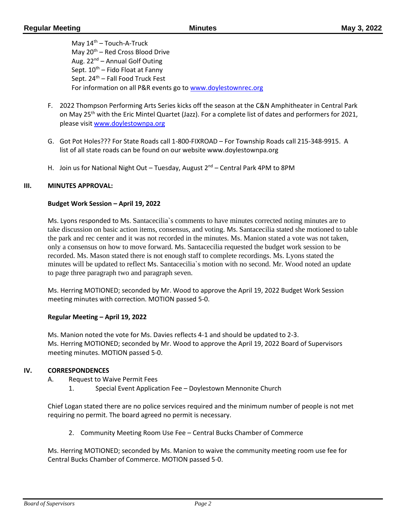May  $14<sup>th</sup>$  – Touch-A-Truck May  $20^{th}$  – Red Cross Blood Drive Aug. 22<sup>nd</sup> – Annual Golf Outing Sept.  $10^{th}$  – Fido Float at Fanny Sept.  $24<sup>th</sup>$  – Fall Food Truck Fest For information on all P&R events go to [www.doylestownrec.org](http://www.doylestownrec.org/)

- F. 2022 Thompson Performing Arts Series kicks off the season at the C&N Amphitheater in Central Park on May 25<sup>th</sup> with the Eric Mintel Quartet (Jazz). For a complete list of dates and performers for 2021, please visit [www.doylestownpa.org](http://www.doylestownpa.org/)
- G. Got Pot Holes??? For State Roads call 1-800-FIXROAD For Township Roads call 215-348-9915. A list of all state roads can be found on our website www.doylestownpa.org
- H. Join us for National Night Out Tuesday, August  $2^{nd}$  Central Park 4PM to 8PM

### **III. MINUTES APPROVAL:**

### **Budget Work Session – April 19, 2022**

Ms. Lyons responded to Ms. Santacecilia`s comments to have minutes corrected noting minutes are to take discussion on basic action items, consensus, and voting. Ms. Santacecilia stated she motioned to table the park and rec center and it was not recorded in the minutes. Ms. Manion stated a vote was not taken, only a consensus on how to move forward. Ms. Santacecilia requested the budget work session to be recorded. Ms. Mason stated there is not enough staff to complete recordings. Ms. Lyons stated the minutes will be updated to reflect Ms. Santacecilia`s motion with no second. Mr. Wood noted an update to page three paragraph two and paragraph seven.

Ms. Herring MOTIONED; seconded by Mr. Wood to approve the April 19, 2022 Budget Work Session meeting minutes with correction. MOTION passed 5-0.

#### **Regular Meeting – April 19, 2022**

Ms. Manion noted the vote for Ms. Davies reflects 4-1 and should be updated to 2-3. Ms. Herring MOTIONED; seconded by Mr. Wood to approve the April 19, 2022 Board of Supervisors meeting minutes. MOTION passed 5-0.

#### **IV. CORRESPONDENCES**

- A. Request to Waive Permit Fees
	- 1. Special Event Application Fee Doylestown Mennonite Church

Chief Logan stated there are no police services required and the minimum number of people is not met requiring no permit. The board agreed no permit is necessary.

2. Community Meeting Room Use Fee – Central Bucks Chamber of Commerce

Ms. Herring MOTIONED; seconded by Ms. Manion to waive the community meeting room use fee for Central Bucks Chamber of Commerce. MOTION passed 5-0.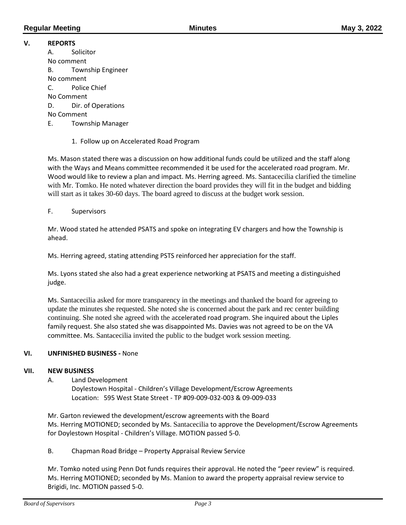# **V. REPORTS**

A. Solicitor No comment B. Township Engineer No comment C. Police Chief No Comment D. Dir. of Operations No Comment E. Township Manager

1. Follow up on Accelerated Road Program

Ms. Mason stated there was a discussion on how additional funds could be utilized and the staff along with the Ways and Means committee recommended it be used for the accelerated road program. Mr. Wood would like to review a plan and impact. Ms. Herring agreed. Ms. Santacecilia clarified the timeline with Mr. Tomko. He noted whatever direction the board provides they will fit in the budget and bidding will start as it takes 30-60 days. The board agreed to discuss at the budget work session.

F. Supervisors

Mr. Wood stated he attended PSATS and spoke on integrating EV chargers and how the Township is ahead.

Ms. Herring agreed, stating attending PSTS reinforced her appreciation for the staff.

Ms. Lyons stated she also had a great experience networking at PSATS and meeting a distinguished judge.

Ms. Santacecilia asked for more transparency in the meetings and thanked the board for agreeing to update the minutes she requested. She noted she is concerned about the park and rec center building continuing. She noted she agreed with the accelerated road program. She inquired about the Liples family request. She also stated she was disappointed Ms. Davies was not agreed to be on the VA committee. Ms. Santacecilia invited the public to the budget work session meeting.

# **VI. UNFINISHED BUSINESS -** None

# **VII. NEW BUSINESS**

A. Land Development

Doylestown Hospital - Children's Village Development/Escrow Agreements Location: 595 West State Street - TP #09-009-032-003 & 09-009-033

Mr. Garton reviewed the development/escrow agreements with the Board Ms. Herring MOTIONED; seconded by Ms. Santacecilia to approve the Development/Escrow Agreements for Doylestown Hospital - Children's Village. MOTION passed 5-0.

B. Chapman Road Bridge – Property Appraisal Review Service

Mr. Tomko noted using Penn Dot funds requires their approval. He noted the "peer review" is required. Ms. Herring MOTIONED; seconded by Ms. Manion to award the property appraisal review service to Brigidi, Inc. MOTION passed 5-0.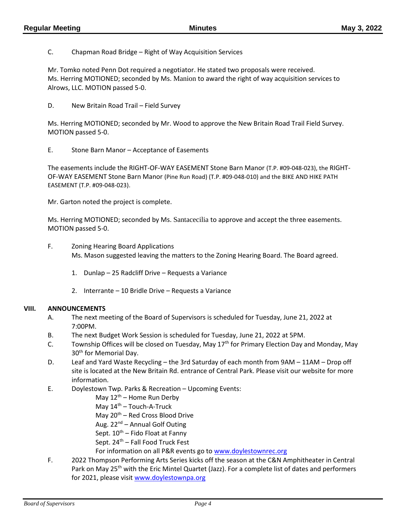C. Chapman Road Bridge – Right of Way Acquisition Services

Mr. Tomko noted Penn Dot required a negotiator. He stated two proposals were received. Ms. Herring MOTIONED; seconded by Ms. Manion to award the right of way acquisition services to Alrows, LLC. MOTION passed 5-0.

D. New Britain Road Trail – Field Survey

Ms. Herring MOTIONED; seconded by Mr. Wood to approve the New Britain Road Trail Field Survey. MOTION passed 5-0.

E. Stone Barn Manor – Acceptance of Easements

The easements include the RIGHT-OF-WAY EASEMENT Stone Barn Manor (T.P. #09-048-023), the RIGHT-OF-WAY EASEMENT Stone Barn Manor (Pine Run Road) (T.P. #09-048-010) and the BIKE AND HIKE PATH EASEMENT (T.P. #09-048-023).

Mr. Garton noted the project is complete.

Ms. Herring MOTIONED; seconded by Ms. Santacecilia to approve and accept the three easements. MOTION passed 5-0.

- F. Zoning Hearing Board Applications Ms. Mason suggested leaving the matters to the Zoning Hearing Board. The Board agreed.
	- 1. Dunlap 25 Radcliff Drive Requests a Variance
	- 2. Interrante 10 Bridle Drive Requests a Variance

#### **VIII. ANNOUNCEMENTS**

- A. The next meeting of the Board of Supervisors is scheduled for Tuesday, June 21, 2022 at 7:00PM.
- B. The next Budget Work Session is scheduled for Tuesday, June 21, 2022 at 5PM.
- C. Township Offices will be closed on Tuesday, May  $17<sup>th</sup>$  for Primary Election Day and Monday, May 30<sup>th</sup> for Memorial Day.
- D. Leaf and Yard Waste Recycling the 3rd Saturday of each month from 9AM 11AM Drop off site is located at the New Britain Rd. entrance of Central Park. Please visit our website for more information.
- E. Doylestown Twp. Parks & Recreation Upcoming Events:
	- May  $12^{th}$  Home Run Derby
	- May  $14<sup>th</sup>$  Touch-A-Truck
	- May  $20^{th}$  Red Cross Blood Drive
	- Aug.  $22^{nd}$  Annual Golf Outing
	- Sept.  $10^{th}$  Fido Float at Fanny
	- Sept. 24<sup>th</sup> Fall Food Truck Fest
	- For information on all P&R events go to [www.doylestownrec.org](http://www.doylestownrec.org/)
- F. 2022 Thompson Performing Arts Series kicks off the season at the C&N Amphitheater in Central Park on May 25<sup>th</sup> with the Eric Mintel Quartet (Jazz). For a complete list of dates and performers for 2021, please visit [www.doylestownpa.org](http://www.doylestownpa.org/)